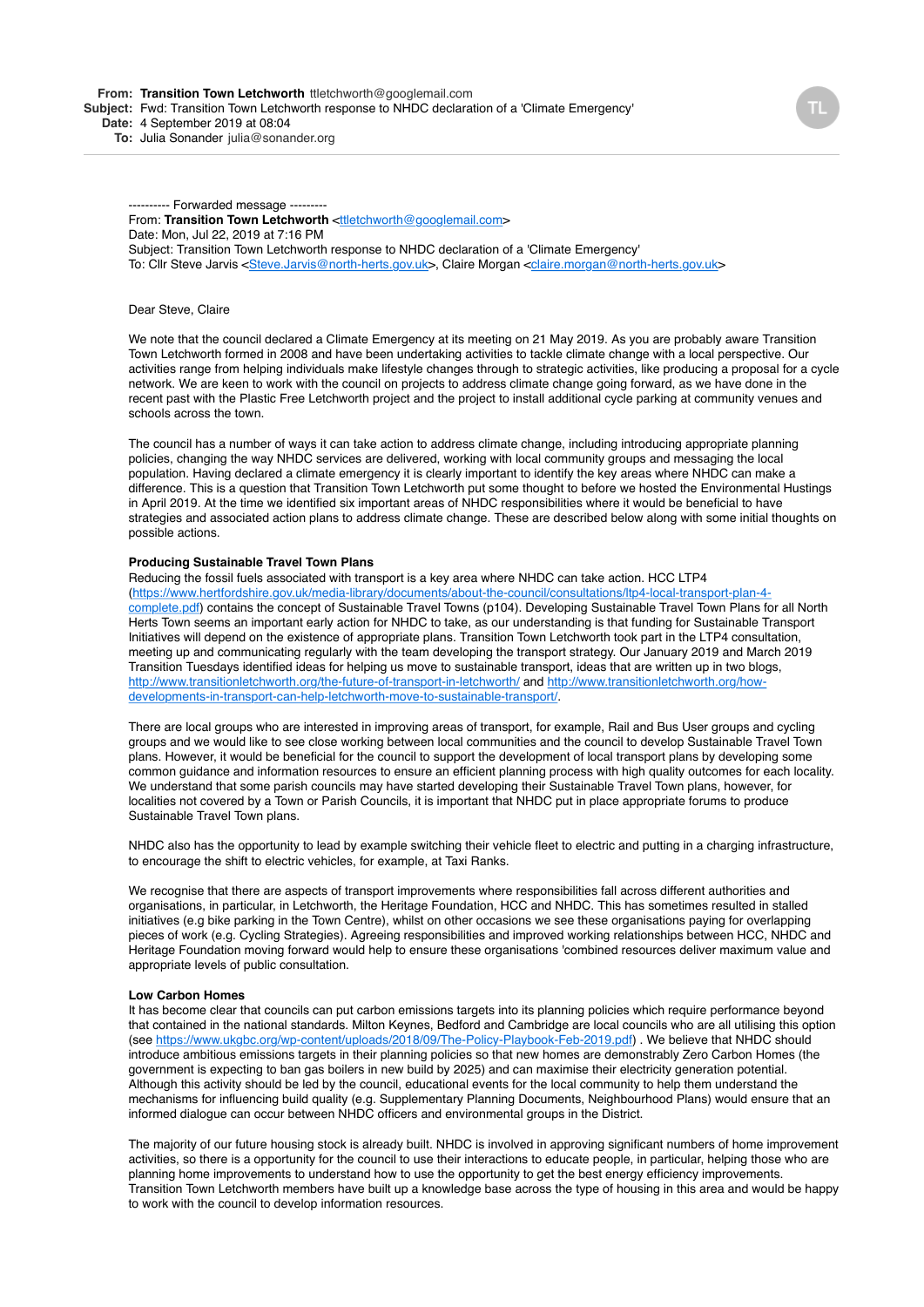---------- Forwarded message -------- From: Transition Town Letchworth <[ttletchworth@googlemail.com>](mailto:ttletchworth@googlemail.com) Date: Mon, Jul 22, 2019 at 7:16 PM Subject: Transition Town Letchworth response to NHDC declaration of a 'Climate Emergency' To: Cllr Steve Jarvis [<Steve.Jarvis@north-herts.gov.uk>](mailto:Steve.Jarvis@north-herts.gov.uk), Claire Morgan [<claire.morgan@north-herts.gov.uk>](mailto:claire.morgan@north-herts.gov.uk)

#### Dear Steve, Claire

We note that the council declared a Climate Emergency at its meeting on 21 May 2019. As you are probably aware Transition Town Letchworth formed in 2008 and have been undertaking activities to tackle climate change with a local perspective. Our activities range from helping individuals make lifestyle changes through to strategic activities, like producing a proposal for a cycle network. We are keen to work with the council on projects to address climate change going forward, as we have done in the recent past with the Plastic Free Letchworth project and the project to install additional cycle parking at community venues and schools across the town.

The council has a number of ways it can take action to address climate change, including introducing appropriate planning policies, changing the way NHDC services are delivered, working with local community groups and messaging the local population. Having declared a climate emergency it is clearly important to identify the key areas where NHDC can make a difference. This is a question that Transition Town Letchworth put some thought to before we hosted the Environmental Hustings in April 2019. At the time we identified six important areas of NHDC responsibilities where it would be beneficial to have strategies and associated action plans to address climate change. These are described below along with some initial thoughts on possible actions.

## **Producing Sustainable Travel Town Plans**

Reducing the fossil fuels associated with transport is a key area where NHDC can take action. HCC LTP4 [\(https://www.hertfordshire.gov.uk/media-library/documents/about-the-council/consultations/ltp4-local-transport-plan-4](https://www.hertfordshire.gov.uk/media-library/documents/about-the-council/consultations/ltp4-local-transport-plan-4-complete.pdf) complete.pdf) contains the concept of Sustainable Travel Towns (p104). Developing Sustainable Travel Town Plans for all North Herts Town seems an important early action for NHDC to take, as our understanding is that funding for Sustainable Transport Initiatives will depend on the existence of appropriate plans. Transition Town Letchworth took part in the LTP4 consultation, meeting up and communicating regularly with the team developing the transport strategy. Our January 2019 and March 2019 Transition Tuesdays identified ideas for helping us move to sustainable transport, ideas that are written up in two blogs, [http://www.transitionletchworth.org/the-future-of-transport-in-letchworth/ and http://www.transitionletchworth.org/how](http://www.transitionletchworth.org/how-developments-in-transport-can-help-letchworth-move-to-sustainable-transport/)developments-in-transport-can-help-letchworth-move-to-sustainable-transport/.

There are local groups who are interested in improving areas of transport, for example, Rail and Bus User groups and cycling groups and we would like to see close working between local communities and the council to develop Sustainable Travel Town plans. However, it would be beneficial for the council to support the development of local transport plans by developing some common guidance and information resources to ensure an efficient planning process with high quality outcomes for each locality. We understand that some parish councils may have started developing their Sustainable Travel Town plans, however, for localities not covered by a Town or Parish Councils, it is important that NHDC put in place appropriate forums to produce Sustainable Travel Town plans.

NHDC also has the opportunity to lead by example switching their vehicle fleet to electric and putting in a charging infrastructure, to encourage the shift to electric vehicles, for example, at Taxi Ranks.

We recognise that there are aspects of transport improvements where responsibilities fall across different authorities and organisations, in particular, in Letchworth, the Heritage Foundation, HCC and NHDC. This has sometimes resulted in stalled initiatives (e.g bike parking in the Town Centre), whilst on other occasions we see these organisations paying for overlapping pieces of work (e.g. Cycling Strategies). Agreeing responsibilities and improved working relationships between HCC, NHDC and Heritage Foundation moving forward would help to ensure these organisations 'combined resources deliver maximum value and appropriate levels of public consultation.

### **Low Carbon Homes**

It has become clear that councils can put carbon emissions targets into its planning policies which require performance beyond that contained in the national standards. Milton Keynes, Bedford and Cambridge are local councils who are all utilising this option (see <https://www.ukgbc.org/wp-content/uploads/2018/09/The-Policy-Playbook-Feb-2019.pdf>) . We believe that NHDC should introduce ambitious emissions targets in their planning policies so that new homes are demonstrably Zero Carbon Homes (the government is expecting to ban gas boilers in new build by 2025) and can maximise their electricity generation potential. Although this activity should be led by the council, educational events for the local community to help them understand the mechanisms for influencing build quality (e.g. Supplementary Planning Documents, Neighbourhood Plans) would ensure that an informed dialogue can occur between NHDC officers and environmental groups in the District.

The majority of our future housing stock is already built. NHDC is involved in approving significant numbers of home improvement activities, so there is a opportunity for the council to use their interactions to educate people, in particular, helping those who are planning home improvements to understand how to use the opportunity to get the best energy efficiency improvements. Transition Town Letchworth members have built up a knowledge base across the type of housing in this area and would be happy to work with the council to develop information resources.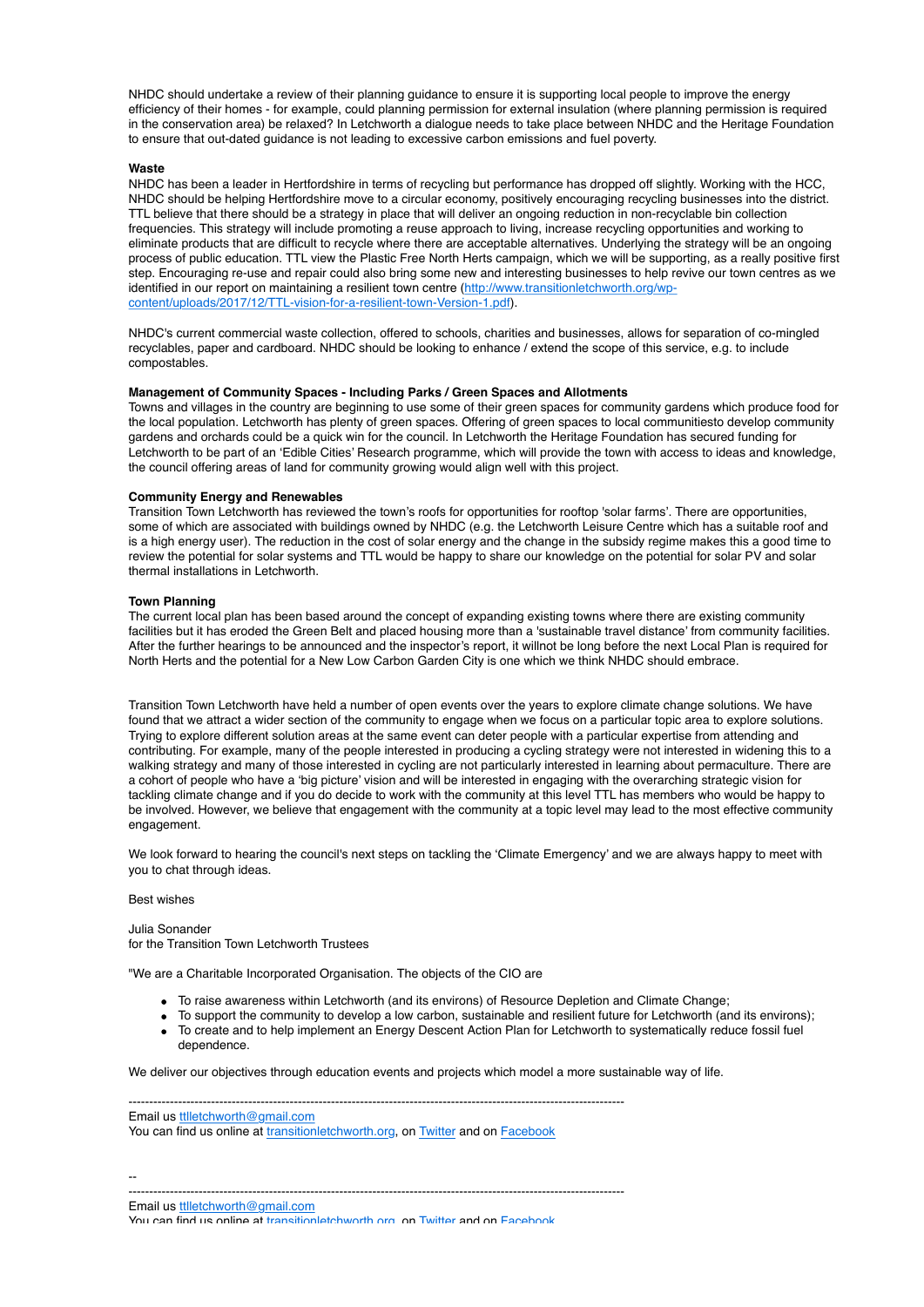NHDC should undertake a review of their planning guidance to ensure it is supporting local people to improve the energy efficiency of their homes - for example, could planning permission for external insulation (where planning permission is required in the conservation area) be relaxed? In Letchworth a dialogue needs to take place between NHDC and the Heritage Foundation to ensure that out-dated guidance is not leading to excessive carbon emissions and fuel poverty.

## **Waste**

NHDC has been a leader in Hertfordshire in terms of recycling but performance has dropped off slightly. Working with the HCC, NHDC should be helping Hertfordshire move to a circular economy, positively encouraging recycling businesses into the district. TTL believe that there should be a strategy in place that will deliver an ongoing reduction in non-recyclable bin collection frequencies. This strategy will include promoting a reuse approach to living, increase recycling opportunities and working to eliminate products that are difficult to recycle where there are acceptable alternatives. Underlying the strategy will be an ongoing process of public education. TTL view the Plastic Free North Herts campaign, which we will be supporting, as a really positive first step. Encouraging re-use and repair could also bring some new and interesting businesses to help revive our town centres as we [identified in our report on maintaining a resilient town centre \(http://www.transitionletchworth.org/wp](http://www.transitionletchworth.org/wp-content/uploads/2017/12/TTL-vision-for-a-resilient-town-Version-1.pdf)content/uploads/2017/12/TTL-vision-for-a-resilient-town-Version-1.pdf).

NHDC's current commercial waste collection, offered to schools, charities and businesses, allows for separation of co-mingled recyclables, paper and cardboard. NHDC should be looking to enhance / extend the scope of this service, e.g. to include compostables.

# **Management of Community Spaces - Including Parks / Green Spaces and Allotments**

Towns and villages in the country are beginning to use some of their green spaces for community gardens which produce food for the local population. Letchworth has plenty of green spaces. Offering of green spaces to local communitiesto develop community gardens and orchards could be a quick win for the council. In Letchworth the Heritage Foundation has secured funding for Letchworth to be part of an 'Edible Cities' Research programme, which will provide the town with access to ideas and knowledge, the council offering areas of land for community growing would align well with this project.

#### **Community Energy and Renewables**

Transition Town Letchworth has reviewed the town's roofs for opportunities for rooftop 'solar farms'. There are opportunities, some of which are associated with buildings owned by NHDC (e.g. the Letchworth Leisure Centre which has a suitable roof and is a high energy user). The reduction in the cost of solar energy and the change in the subsidy regime makes this a good time to review the potential for solar systems and TTL would be happy to share our knowledge on the potential for solar PV and solar thermal installations in Letchworth.

## **Town Planning**

The current local plan has been based around the concept of expanding existing towns where there are existing community facilities but it has eroded the Green Belt and placed housing more than a 'sustainable travel distance' from community facilities. After the further hearings to be announced and the inspector's report, it willnot be long before the next Local Plan is required for North Herts and the potential for a New Low Carbon Garden City is one which we think NHDC should embrace.

Transition Town Letchworth have held a number of open events over the years to explore climate change solutions. We have found that we attract a wider section of the community to engage when we focus on a particular topic area to explore solutions. Trying to explore different solution areas at the same event can deter people with a particular expertise from attending and contributing. For example, many of the people interested in producing a cycling strategy were not interested in widening this to a walking strategy and many of those interested in cycling are not particularly interested in learning about permaculture. There are a cohort of people who have a 'big picture' vision and will be interested in engaging with the overarching strategic vision for tackling climate change and if you do decide to work with the community at this level TTL has members who would be happy to be involved. However, we believe that engagement with the community at a topic level may lead to the most effective community engagement.

We look forward to hearing the council's next steps on tackling the 'Climate Emergency' and we are always happy to meet with you to chat through ideas.

Best wishes

Julia Sonander for the Transition Town Letchworth Trustees

"We are a Charitable Incorporated Organisation. The objects of the CIO are

- To raise awareness within Letchworth (and its environs) of Resource Depletion and Climate Change;
- To support the community to develop a low carbon, sustainable and resilient future for Letchworth (and its environs);
- To create and to help implement an Energy Descent Action Plan for Letchworth to systematically reduce fossil fuel dependence.

We deliver our objectives through education events and projects which model a more sustainable way of life.

| Email us ttlletchworth@gmail.com                                               |  |
|--------------------------------------------------------------------------------|--|
| You can find us online at transitionletchworth.org, on Twitter and on Facebook |  |

-- ------------------------------------------------------------------------------------------------------------------------

Email us [ttlletchworth@gmail.com](mailto:ttletchworth@gmail.com)

You can find us online at [transitionletchworth.org,](http://transitionletchworth.org/) on [Twitter](https://twitter.com/TTLetchworth) and on [Facebook](https://www.facebook.com/TTLetchworth)